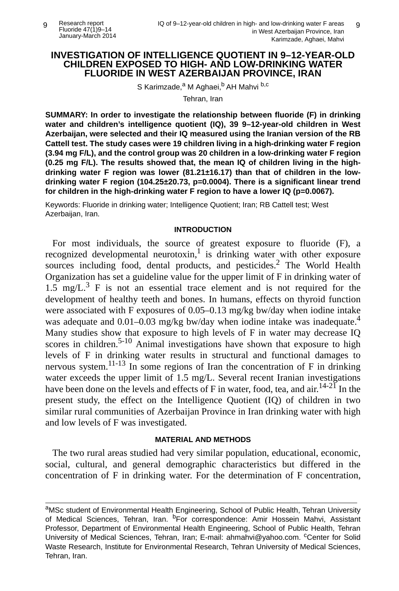## **INVESTIGATION OF INTELLIGENCE QUOTIENT IN 9–12-YEAR-OLD CHILDREN EXPOSED TO HIGH- AND LOW-DRINKING WATER FLUORIDE IN WEST AZERBAIJAN PROVINCE, IRAN**

S Karimzade,<sup>a</sup> M Aghaei,<sup>b</sup> AH Mahvi <sup>b,c</sup>

Tehran, Iran

**SUMMARY: In order to investigate the relationship between fluoride (F) in drinking water and children's intelligence quotient (IQ), 39 9–12-year-old children in West Azerbaijan, were selected and their IQ measured using the Iranian version of the RB Cattell test. The study cases were 19 children living in a high-drinking water F region (3.94 mg F/L), and the control group was 20 children in a low-drinking water F region (0.25 mg F/L). The results showed that, the mean IQ of children living in the highdrinking water F region was lower (81.21±16.17) than that of children in the lowdrinking water F region (104.25±20.73, p=0.0004). There is a significant linear trend for children in the high-drinking water F region to have a lower IQ (p=0.0067).**

Keywords: Fluoride in drinking water; Intelligence Quotient; Iran; RB Cattell test; West Azerbaijan, Iran.

### **INTRODUCTION**

For most individuals, the source of greatest exposure to fluoride (F), a recognized developmental neurotoxin,<sup>1</sup> is drinking water with other exposure sources including food, dental products, and pesticides.<sup>2</sup> The World Health Organization has set a guideline value for the upper limit of F in drinking water of  $1.5 \text{ mg/L.}^3$  F is not an essential trace element and is not required for the development of healthy teeth and bones. In humans, effects on thyroid function were associated with F exposures of 0.05–0.13 mg/kg bw/day when iodine intake was adequate and  $0.01-0.03$  mg/kg bw/day when iodine intake was inadequate.<sup>4</sup> Many studies show that exposure to high levels of F in water may decrease IQ scores in children.<sup>5-10</sup> Animal investigations have shown that exposure to high levels of F in drinking water results in structural and functional damages to nervous system.<sup>11-13</sup> In some regions of Iran the concentration of F in drinking water exceeds the upper limit of 1.5 mg/L. Several recent Iranian investigations have been done on the levels and effects of F in water, food, tea, and air.<sup>14-21</sup> In the present study, the effect on the Intelligence Quotient (IQ) of children in two similar rural communities of Azerbaijan Province in Iran drinking water with high and low levels of F was investigated.

### **MATERIAL AND METHODS**

The two rural areas studied had very similar population, educational, economic, social, cultural, and general demographic characteristics but differed in the concentration of F in drinking water. For the determination of F concentration,

aMSc student of Environmental Health Engineering, School of Public Health, Tehran University of Medical Sciences, Tehran, Iran. <sup>b</sup>For correspondence: Amir Hossein Mahvi, Assistant Professor, Department of Environmental Health Engineering, School of Public Health, Tehran University of Medical Sciences, Tehran, Iran; E-mail: ahmahvi@yahoo.com. <sup>c</sup>Center for Solid Waste Research, Institute for Environmental Research, Tehran University of Medical Sciences, Tehran, Iran.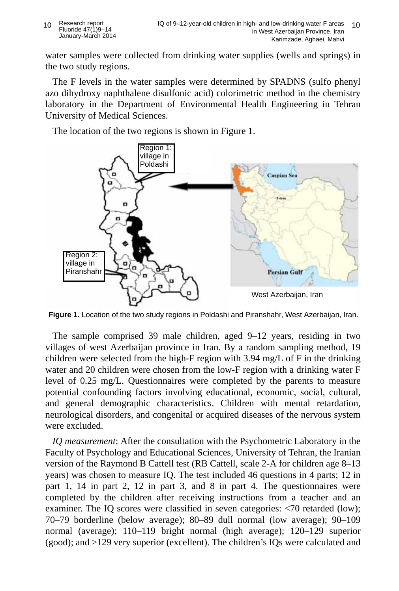water samples were collected from drinking water supplies (wells and springs) in the two study regions.

The F levels in the water samples were determined by SPADNS (sulfo phenyl azo dihydroxy naphthalene disulfonic acid) colorimetric method in the chemistry laboratory in the Department of Environmental Health Engineering in Tehran University of Medical Sciences.

The location of the two regions is shown in Figure 1.



**Figure 1.** Location of the two study regions in Poldashi and Piranshahr, West Azerbaijan, Iran.

The sample comprised 39 male children, aged 9–12 years, residing in two villages of west Azerbaijan province in Iran. By a random sampling method, 19 children were selected from the high-F region with 3.94 mg/L of F in the drinking water and 20 children were chosen from the low-F region with a drinking water F level of 0.25 mg/L. Questionnaires were completed by the parents to measure potential confounding factors involving educational, economic, social, cultural, and general demographic characteristics. Children with mental retardation, neurological disorders, and congenital or acquired diseases of the nervous system were excluded.

*IQ measurement*: After the consultation with the Psychometric Laboratory in the Faculty of Psychology and Educational Sciences, University of Tehran, the Iranian version of the Raymond B Cattell test (RB Cattell, scale 2-A for children age 8–13 years) was chosen to measure IQ. The test included 46 questions in 4 parts; 12 in part 1, 14 in part 2, 12 in part 3, and 8 in part 4. The questionnaires were completed by the children after receiving instructions from a teacher and an examiner. The IQ scores were classified in seven categories: <70 retarded (low); 70–79 borderline (below average); 80–89 dull normal (low average); 90–109 normal (average); 110–119 bright normal (high average); 120–129 superior (good); and >129 very superior (excellent). The children's IQs were calculated and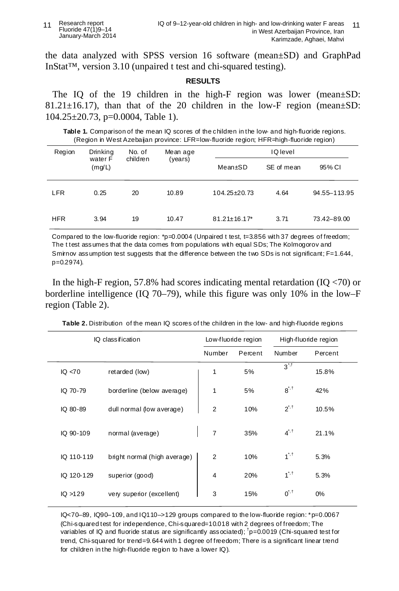#### 11 Research report Fluoride 47(1)9–14 January-March 2014

the data analyzed with SPSS version 16 software (mean±SD) and GraphPad InStat™, version 3.10 (unpaired t test and chi-squared testing).

### **RESULTS**

The IQ of the 19 children in the high-F region was lower (mean $\pm$ SD: 81.21 $\pm$ 16.17), than that of the 20 children in the low-F region (mean $\pm$ SD: 104.25±20.73, p=0.0004, Table 1).

**Table 1.** Comparison of the mean IQ scores of the children in the low- and high-fluoride regions. (Region in West Azebaijan province: LFR=low-fluoride region; HFR=high-fluoride region)

| Region     | Drinking<br>water F<br>(mg/L) | No. of<br>children | Mean age<br>(years) | <b>IQ</b> level     |            |                |  |
|------------|-------------------------------|--------------------|---------------------|---------------------|------------|----------------|--|
|            |                               |                    |                     | Mean±SD             | SE of mean | 95% CI         |  |
| <b>LFR</b> | 0.25                          | 20                 | 10.89               | 104.25±20.73        | 4.64       | 94.55 - 113.95 |  |
| <b>HFR</b> | 3.94                          | 19                 | 10.47               | $81.21 \pm 16.17$ * | 3.71       | 73.42-89.00    |  |

Compared to the low-fluoride region:  $p=0.0004$  (Unpaired t test, t=3.856 with 37 degrees of freedom; The t test assumes that the data comes from populations with equal SDs; The Kolmogorov and Smirnov assumption test suggests that the difference between the two SDs is not significant; F=1.644, p=0.2974).

In the high-F region, 57.8% had scores indicating mental retardation  $(IO < 70)$  or borderline intelligence (IQ 70–79), while this figure was only 10% in the low–F region (Table 2).

| IQ class ification | Low-fluoride region          |                | High-fluoride region |                                              |         |  |
|--------------------|------------------------------|----------------|----------------------|----------------------------------------------|---------|--|
|                    |                              | Number         | Percent              | Number                                       | Percent |  |
| IQ < 70            | retarded (low)               | 1              | 5%                   | $3^{\cdot \cdot \cdot \cdot}$                | 15.8%   |  |
| IQ 70-79           | borderline (below average)   | 1              | 5%                   | $8^{\dot{}}^{\dot{}}$ . <sup>†</sup>         | 42%     |  |
| IQ 80-89           | dull normal (low average)    | $\overline{2}$ | 10%                  | $2^{7.1}$                                    | 10.5%   |  |
| IQ 90-109          | normal (average)             | $\overline{7}$ | 35%                  | $4^{\dot{}}{\dot{}}^{\dot{}}$                | 21.1%   |  |
| IQ 110-119         | bright normal (high average) | $\overline{2}$ | 10%                  | $1^{\dot{}}$ <sup><math>\dot{1}</math></sup> | 5.3%    |  |
| IQ 120-129         | superior (good)              | $\overline{4}$ | 20%                  | $1^{\dot{}}$ <sup><math>\dot{1}</math></sup> | 5.3%    |  |
| IQ > 129           | very superior (excellent)    | 3              | 15%                  | $0^{\dot{}}$ , t                             | 0%      |  |

**Table 2.** Distribution of the mean IQ scores of the children in the low- and high-fluoride regions

IQ<70–89, IQ90–109, and IQ110–>129 groups compared to the low-fluoride region: \*p=0.0067 (Chi-squared test for independence, Chi-squared=10.018 with 2 degrees of freedom; The variables of IQ and fluoride status are significantly associated);  $\text{p}=0.0019$  (Chi-squared test for trend, Chi-squared for trend=9.644 with 1 degree of freedom; There is a significant linear trend for children in the high-fluoride region to have a lower IQ).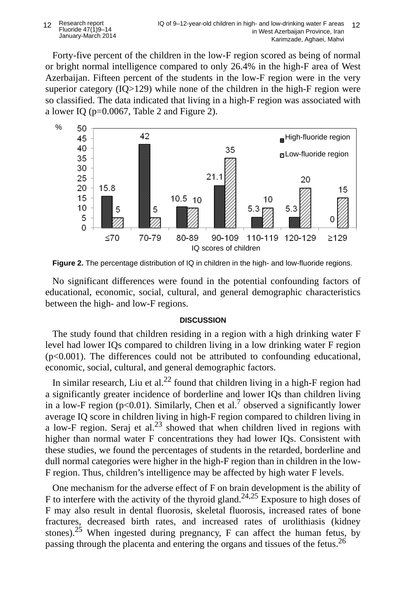Forty-five percent of the children in the low-F region scored as being of normal or bright normal intelligence compared to only 26.4% in the high-F area of West Azerbaijan. Fifteen percent of the students in the low-F region were in the very superior category (IQ>129) while none of the children in the high-F region were so classified. The data indicated that living in a high-F region was associated with a lower IQ (p=0.0067, Table 2 and Figure 2).



**Figure 2.** The percentage distribution of IQ in children in the high- and low-fluoride regions.

No significant differences were found in the potential confounding factors of educational, economic, social, cultural, and general demographic characteristics between the high- and low-F regions.

# **DISCUSSION**

The study found that children residing in a region with a high drinking water F level had lower IQs compared to children living in a low drinking water F region  $(p<0.001)$ . The differences could not be attributed to confounding educational, economic, social, cultural, and general demographic factors.

In similar research, Liu et al.<sup>22</sup> found that children living in a high-F region had a significantly greater incidence of borderline and lower IQs than children living in a low-F region ( $p<0.01$ ). Similarly, Chen et al.<sup>7</sup> observed a significantly lower average IQ score in children living in high-F region compared to children living in a low-F region. Seraj et al.<sup>23</sup> showed that when children lived in regions with higher than normal water F concentrations they had lower IQs. Consistent with these studies, we found the percentages of students in the retarded, borderline and dull normal categories were higher in the high-F region than in children in the low-F region. Thus, children's intelligence may be affected by high water F levels.

One mechanism for the adverse effect of F on brain development is the ability of F to interfere with the activity of the thyroid gland.<sup>24,25</sup> Exposure to high doses of F may also result in dental fluorosis, skeletal fluorosis, increased rates of bone fractures, decreased birth rates, and increased rates of urolithiasis (kidney stones).<sup>25</sup> When ingested during pregnancy, F can affect the human fetus, by passing through the placenta and entering the organs and tissues of the fetus.<sup>26</sup>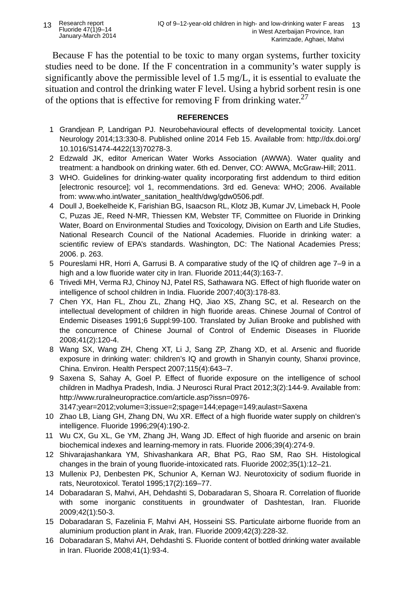Because F has the potential to be toxic to many organ systems, further toxicity studies need to be done. If the F concentration in a community's water supply is significantly above the permissible level of 1.5 mg/L, it is essential to evaluate the situation and control the drinking water F level. Using a hybrid sorbent resin is one of the options that is effective for removing F from drinking water.<sup>27</sup>

## **REFERENCES**

- 1 Grandjean P, Landrigan PJ. Neurobehavioural effects of developmental toxicity. Lancet Neurology 2014;13:330-8. Published online 2014 Feb 15. Available from: http://dx.doi.org/ 10.1016/S1474-4422(13)70278-3.
- 2 Edzwald JK, editor American Water Works Association (AWWA). Water quality and treatment: a handbook on drinking water. 6th ed. Denver, CO: AWWA, McGraw-Hill; 2011.
- 3 WHO. Guidelines for drinking-water quality incorporating first addendum to third edition [electronic resource]; vol 1, recommendations. 3rd ed. Geneva: WHO; 2006. Available from: www.who.int/water\_sanitation\_health/dwg/gdw0506.pdf.
- 4 Doull J, Boekelheide K, Farishian BG, Isaacson RL, Klotz JB, Kumar JV, Limeback H, Poole C, Puzas JE, Reed N-MR, Thiessen KM, Webster TF, Committee on Fluoride in Drinking Water, Board on Environmental Studies and Toxicology, Division on Earth and Life Studies, National Research Council of the National Academies. Fluoride in drinking water: a scientific review of EPA's standards. Washington, DC: The National Academies Press; 2006. p. 263.
- 5 Poureslami HR, Horri A, Garrusi B. A comparative study of the IQ of children age 7–9 in a high and a low fluoride water city in Iran. Fluoride 2011;44(3):163-7.
- 6 Trivedi MH, Verma RJ, Chinoy NJ, Patel RS, Sathawara NG. Effect of high fluoride water on intelligence of school children in India. Fluoride 2007;40(3):178-83.
- 7 Chen YX, Han FL, Zhou ZL, Zhang HQ, Jiao XS, Zhang SC, et al. Research on the intellectual development of children in high fluoride areas. Chinese Journal of Control of Endemic Diseases 1991;6 Suppl:99-100. Translated by Julian Brooke and published with the concurrence of Chinese Journal of Control of Endemic Diseases in Fluoride 2008;41(2):120-4.
- 8 Wang SX, Wang ZH, Cheng XT, Li J, Sang ZP, Zhang XD, et al. Arsenic and fluoride exposure in drinking water: children's IQ and growth in Shanyin county, Shanxi province, China. Environ. Health Perspect 2007;115(4):643–7.
- 9 Saxena S, Sahay A, Goel P. Effect of fluoride exposure on the intelligence of school children in Madhya Pradesh, India. J Neurosci Rural Pract 2012;3(2):144-9. Available from: http://www.ruralneuropractice.com/article.asp?issn=0976-

3147;year=2012;volume=3;issue=2;spage=144;epage=149;aulast=Saxena

- 10 Zhao LB, Liang GH, Zhang DN, Wu XR. Effect of a high fluoride water supply on children's intelligence. Fluoride 1996;29(4):190-2.
- 11 Wu CX, Gu XL, Ge YM, Zhang JH, Wang JD. Effect of high fluoride and arsenic on brain biochemical indexes and learning-memory in rats. Fluoride 2006;39(4):274-9.
- 12 Shivarajashankara YM, Shivashankara AR, Bhat PG, Rao SM, Rao SH. Histological changes in the brain of young fluoride-intoxicated rats. Fluoride 2002;35(1):12–21.
- 13 Mullenix PJ, Denbesten PK, Schunior A, Kernan WJ. Neurotoxicity of sodium fluoride in rats, Neurotoxicol. Teratol 1995;17(2):169–77.
- 14 Dobaradaran S, Mahvi, AH, Dehdashti S, Dobaradaran S, Shoara R. Correlation of fluoride with some inorganic constituents in groundwater of Dashtestan, Iran. Fluoride 2009;42(1):50-3.
- 15 Dobaradaran S, Fazelinia F, Mahvi AH, Hosseini SS. Particulate airborne fluoride from an aluminium production plant in Arak, Iran. Fluoride 2009;42(3):228-32.
- 16 Dobaradaran S, Mahvi AH, Dehdashti S. Fluoride content of bottled drinking water available in Iran. Fluoride 2008;41(1):93-4.